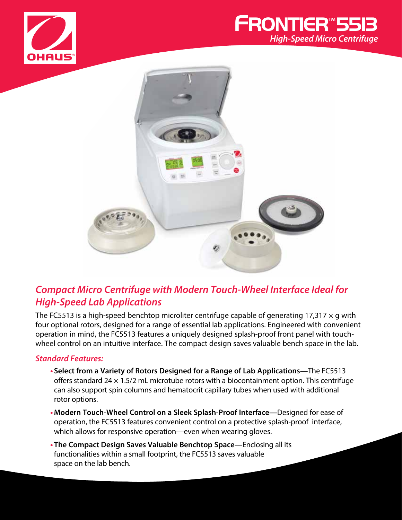





# *Compact Micro Centrifuge with Modern Touch-Wheel Interface Ideal for High-Speed Lab Applications*

The FC5513 is a high-speed benchtop microliter centrifuge capable of generating 17,317  $\times$  g with four optional rotors, designed for a range of essential lab applications. Engineered with convenient operation in mind, the FC5513 features a uniquely designed splash-proof front panel with touchwheel control on an intuitive interface. The compact design saves valuable bench space in the lab.

#### *Standard Features:*

- **• Select from a Variety of Rotors Designed for a Range of Lab Applications—**The FC5513 offers standard 24  $\times$  1.5/2 mL microtube rotors with a biocontainment option. This centrifuge can also support spin columns and hematocrit capillary tubes when used with additional rotor options.
- **•Modern Touch-Wheel Control on a Sleek Splash-Proof Interface—**Designed for ease of operation, the FC5513 features convenient control on a protective splash-proof interface, which allows for responsive operation—even when wearing gloves.
- **• The Compact Design Saves Valuable Benchtop Space—**Enclosing all its functionalities within a small footprint, the FC5513 saves valuable space on the lab bench.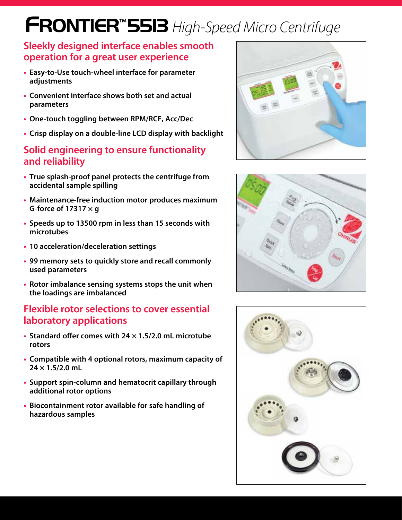# **FRONTIER**™**5513** *High-Speed Micro Centrifuge*

### **Sleekly designed interface enables smooth operation for a great user experience**

- **• Easy-to-Use touch-wheel interface for parameter adjustments**
- **• Convenient interface shows both set and actual parameters**
- **• One-touch toggling between RPM/RCF, Acc/Dec**
- **• Crisp display on a double-line LCD display with backlight**

### **Solid engineering to ensure functionality and reliability**

- **• True splash-proof panel protects the centrifuge from accidental sample spilling**
- **• Maintenance-free induction motor produces maximum G-force of 17317 × g**
- **• Speeds up to 13500 rpm in less than 15 seconds with microtubes**
- **• 10 acceleration/deceleration settings**
- **• 99 memory sets to quickly store and recall commonly used parameters**
- **• Rotor imbalance sensing systems stops the unit when the loadings are imbalanced**

## **Flexible rotor selections to cover essential laboratory applications**

- **• Standard offer comes with 24 × 1.5/2.0 mL microtube rotors**
- **• Compatible with 4 optional rotors, maximum capacity of 24 × 1.5/2.0 mL**
- **• Support spin-column and hematocrit capillary through additional rotor options**
- **• Biocontainment rotor available for safe handling of hazardous samples**





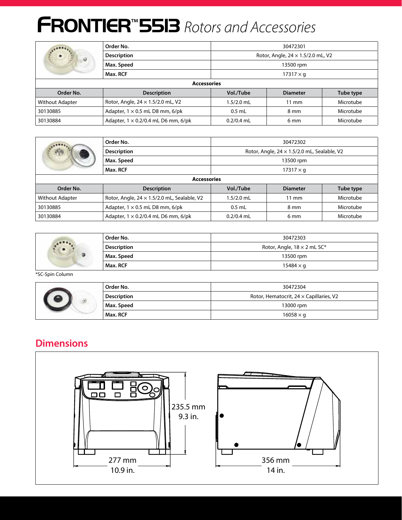# **FRONTIER**™**5513** *Rotors and Accessories*

|                    | Order No.<br>30472301                        |                                          |                 |           |
|--------------------|----------------------------------------------|------------------------------------------|-----------------|-----------|
| $\circ$            | <b>Description</b>                           | Rotor, Angle, $24 \times 1.5/2.0$ mL, V2 |                 |           |
|                    | Max. Speed                                   | 13500 rpm                                |                 |           |
|                    | Max. RCF                                     | $17317 \times q$                         |                 |           |
| <b>Accessories</b> |                                              |                                          |                 |           |
| Order No.          | <b>Description</b>                           | Vol./Tube                                | <b>Diameter</b> | Tube type |
| Without Adapter    | Rotor, Angle, 24 x 1.5/2.0 mL, V2            | 1.5/2.0 mL                               | $11 \text{ mm}$ | Microtube |
| 30130885           | Adapter, $1 \times 0.5$ mL D8 mm, $6$ /pk    | $0.5$ mL                                 | 8 mm            | Microtube |
| 30130884           | Adapter, $1 \times 0.2/0.4$ mL D6 mm, $6/pk$ | $0.2/0.4$ mL                             | 6 mm            | Microtube |

|                        | Order No.                                          | 30472302                                           |                 |           |
|------------------------|----------------------------------------------------|----------------------------------------------------|-----------------|-----------|
|                        | <b>Description</b>                                 | Rotor, Angle, $24 \times 1.5/2.0$ mL, Sealable, V2 |                 |           |
|                        | Max. Speed                                         | 13500 rpm                                          |                 |           |
|                        | Max. RCF                                           | $17317 \times g$                                   |                 |           |
| <b>Accessories</b>     |                                                    |                                                    |                 |           |
| Order No.              | <b>Description</b>                                 | Vol./Tube                                          | <b>Diameter</b> | Tube type |
| <b>Without Adapter</b> | Rotor, Angle, $24 \times 1.5/2.0$ mL, Sealable, V2 | $1.5/2.0$ mL                                       | $11 \text{ mm}$ | Microtube |
| 30130885               | Adapter, $1 \times 0.5$ mL D8 mm, $6$ /pk          | $0.5$ mL                                           | 8 mm            | Microtube |
| 30130884               | Adapter, $1 \times 0.2/0.4$ mL D6 mm, $6$ /pk      | $0.2/0.4$ mL                                       | 6 mm            | Microtube |

| $-0.001$ | Order No.          | 30472303                           |  |
|----------|--------------------|------------------------------------|--|
|          | <b>Description</b> | Rotor, Angle, $18 \times 2$ mL SC* |  |
|          | Max. Speed         | 13500 rpm                          |  |
|          | Max. RCF           | $15484 \times g$                   |  |

\*SC-Spin Column

|  | Order No.          | 30472304                                       |  |
|--|--------------------|------------------------------------------------|--|
|  | <b>Description</b> | Rotor, Hematocrit, $24 \times$ Capillaries, V2 |  |
|  | Max. Speed         | 13000 rpm                                      |  |
|  | Max. RCF           | $16058 \times g$                               |  |

## **Dimensions**